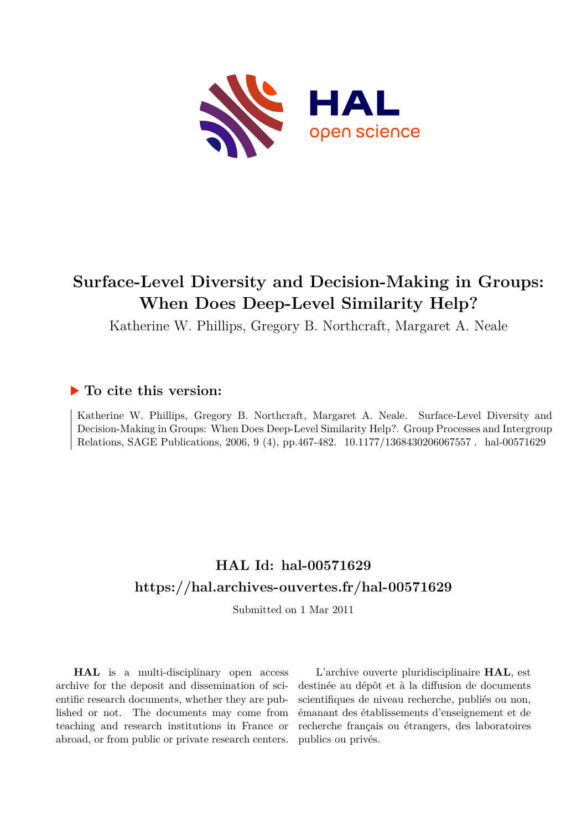

## **Surface-Level Diversity and Decision-Making in Groups: When Does Deep-Level Similarity Help?**

Katherine W. Phillips, Gregory B. Northcraft, Margaret A. Neale

### **To cite this version:**

Katherine W. Phillips, Gregory B. Northcraft, Margaret A. Neale. Surface-Level Diversity and Decision-Making in Groups: When Does Deep-Level Similarity Help?. Group Processes and Intergroup Relations, SAGE Publications, 2006, 9 (4), pp.467-482. 10.1177/1368430206067557. hal-00571629

## **HAL Id: hal-00571629 <https://hal.archives-ouvertes.fr/hal-00571629>**

Submitted on 1 Mar 2011

**HAL** is a multi-disciplinary open access archive for the deposit and dissemination of scientific research documents, whether they are published or not. The documents may come from teaching and research institutions in France or abroad, or from public or private research centers.

L'archive ouverte pluridisciplinaire **HAL**, est destinée au dépôt et à la diffusion de documents scientifiques de niveau recherche, publiés ou non, émanant des établissements d'enseignement et de recherche français ou étrangers, des laboratoires publics ou privés.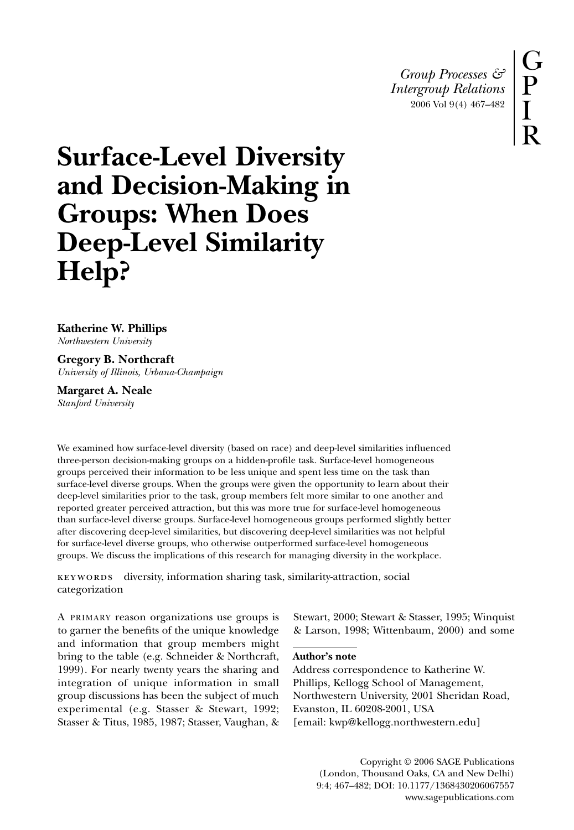*Group Processes & Intergroup Relations* 2006 Vol 9(4) 467–482

# **Surface-Level Diversity and Decision-Making in Groups: When Does Deep-Level Similarity Help?**

**Katherine W. Phillips** *Northwestern University*

**Gregory B. Northcraft** *University of Illinois, Urbana-Champaign*

**Margaret A. Neale** *Stanford University*

We examined how surface-level diversity (based on race) and deep-level similarities influenced three-person decision-making groups on a hidden-profile task. Surface-level homogeneous groups perceived their information to be less unique and spent less time on the task than surface-level diverse groups. When the groups were given the opportunity to learn about their deep-level similarities prior to the task, group members felt more similar to one another and reported greater perceived attraction, but this was more true for surface-level homogeneous than surface-level diverse groups. Surface-level homogeneous groups performed slightly better after discovering deep-level similarities, but discovering deep-level similarities was not helpful for surface-level diverse groups, who otherwise outperformed surface-level homogeneous groups. We discuss the implications of this research for managing diversity in the workplace.

keywords diversity, information sharing task, similarity-attraction, social categorization

A PRIMARY reason organizations use groups is to garner the benefits of the unique knowledge and information that group members might bring to the table (e.g. Schneider & Northcraft, 1999). For nearly twenty years the sharing and integration of unique information in small group discussions has been the subject of much experimental (e.g. Stasser & Stewart, 1992; Stasser & Titus, 1985, 1987; Stasser, Vaughan, &

Stewart, 2000; Stewart & Stasser, 1995; Winquist & Larson, 1998; Wittenbaum, 2000) and some

#### **Author's note**

Address correspondence to Katherine W. Phillips, Kellogg School of Management, Northwestern University, 2001 Sheridan Road, Evanston, IL 60208-2001, USA [email: kwp@kellogg.northwestern.edu]

> Copyright © 2006 SAGE Publications (London, Thousand Oaks, CA and New Delhi) 9:4; 467–482; DOI: 10.1177/1368430206067557 www.sagepublications.com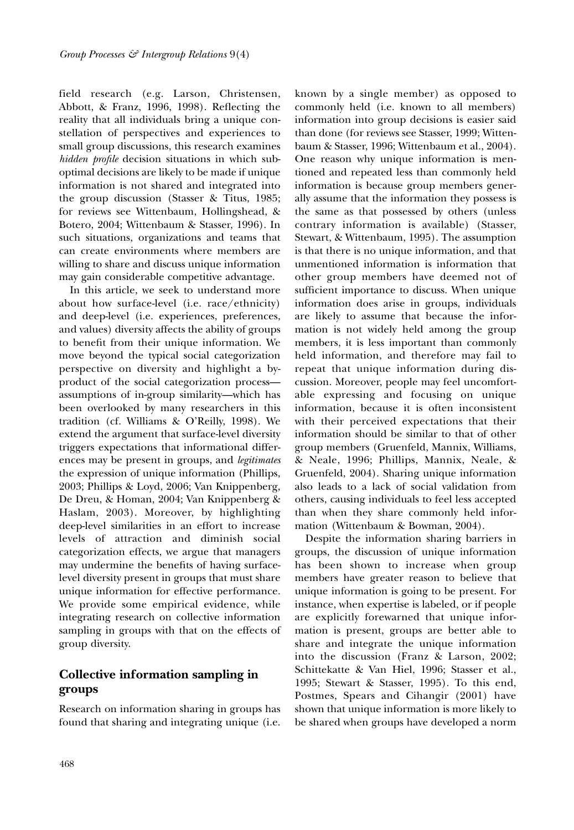field research (e.g. Larson, Christensen, Abbott, & Franz, 1996, 1998). Reflecting the reality that all individuals bring a unique constellation of perspectives and experiences to small group discussions, this research examines *hidden profile* decision situations in which suboptimal decisions are likely to be made if unique information is not shared and integrated into the group discussion (Stasser & Titus, 1985; for reviews see Wittenbaum, Hollingshead, & Botero, 2004; Wittenbaum & Stasser, 1996). In such situations, organizations and teams that can create environments where members are willing to share and discuss unique information may gain considerable competitive advantage.

In this article, we seek to understand more about how surface-level (i.e. race/ethnicity) and deep-level (i.e. experiences, preferences, and values) diversity affects the ability of groups to benefit from their unique information. We move beyond the typical social categorization perspective on diversity and highlight a byproduct of the social categorization process assumptions of in-group similarity—which has been overlooked by many researchers in this tradition (cf. Williams & O'Reilly, 1998). We extend the argument that surface-level diversity triggers expectations that informational differences may be present in groups, and *legitimates* the expression of unique information (Phillips, 2003; Phillips & Loyd, 2006; Van Knippenberg, De Dreu, & Homan, 2004; Van Knippenberg & Haslam, 2003). Moreover, by highlighting deep-level similarities in an effort to increase levels of attraction and diminish social categorization effects, we argue that managers may undermine the benefits of having surfacelevel diversity present in groups that must share unique information for effective performance. We provide some empirical evidence, while integrating research on collective information sampling in groups with that on the effects of group diversity.

#### **Collective information sampling in groups**

Research on information sharing in groups has found that sharing and integrating unique (i.e. known by a single member) as opposed to commonly held (i.e. known to all members) information into group decisions is easier said than done (for reviews see Stasser, 1999; Wittenbaum & Stasser, 1996; Wittenbaum et al., 2004). One reason why unique information is mentioned and repeated less than commonly held information is because group members generally assume that the information they possess is the same as that possessed by others (unless contrary information is available) (Stasser, Stewart, & Wittenbaum, 1995). The assumption is that there is no unique information, and that unmentioned information is information that other group members have deemed not of sufficient importance to discuss. When unique information does arise in groups, individuals are likely to assume that because the information is not widely held among the group members, it is less important than commonly held information, and therefore may fail to repeat that unique information during discussion. Moreover, people may feel uncomfortable expressing and focusing on unique information, because it is often inconsistent with their perceived expectations that their information should be similar to that of other group members (Gruenfeld, Mannix, Williams, & Neale, 1996; Phillips, Mannix, Neale, & Gruenfeld, 2004). Sharing unique information also leads to a lack of social validation from others, causing individuals to feel less accepted than when they share commonly held information (Wittenbaum & Bowman, 2004).

Despite the information sharing barriers in groups, the discussion of unique information has been shown to increase when group members have greater reason to believe that unique information is going to be present. For instance, when expertise is labeled, or if people are explicitly forewarned that unique information is present, groups are better able to share and integrate the unique information into the discussion (Franz & Larson, 2002; Schittekatte & Van Hiel, 1996; Stasser et al., 1995; Stewart & Stasser, 1995). To this end, Postmes, Spears and Cihangir (2001) have shown that unique information is more likely to be shared when groups have developed a norm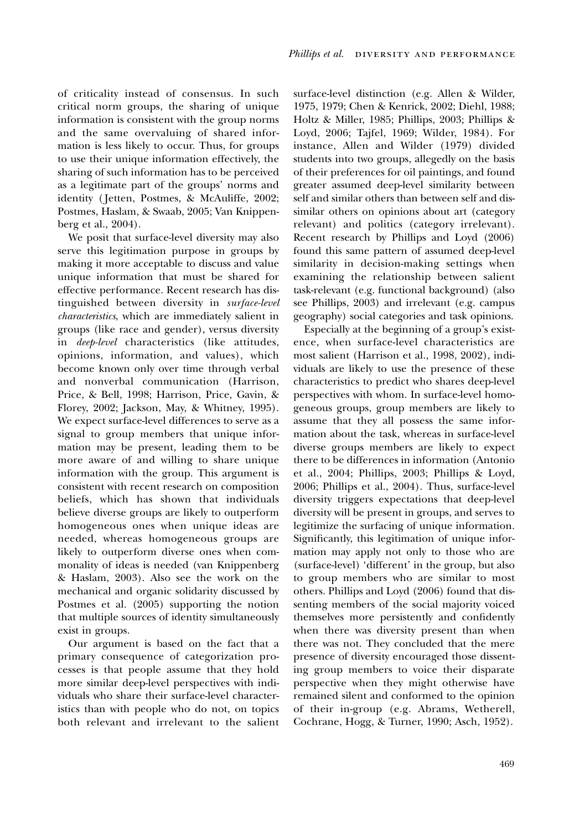of criticality instead of consensus. In such critical norm groups, the sharing of unique information is consistent with the group norms and the same overvaluing of shared information is less likely to occur. Thus, for groups to use their unique information effectively, the sharing of such information has to be perceived as a legitimate part of the groups' norms and identity ( Jetten, Postmes, & McAuliffe, 2002; Postmes, Haslam, & Swaab, 2005; Van Knippenberg et al., 2004).

We posit that surface-level diversity may also serve this legitimation purpose in groups by making it more acceptable to discuss and value unique information that must be shared for effective performance. Recent research has distinguished between diversity in *surface-level characteristics*, which are immediately salient in groups (like race and gender), versus diversity in *deep-level* characteristics (like attitudes, opinions, information, and values), which become known only over time through verbal and nonverbal communication (Harrison, Price, & Bell, 1998; Harrison, Price, Gavin, & Florey, 2002; Jackson, May, & Whitney, 1995). We expect surface-level differences to serve as a signal to group members that unique information may be present, leading them to be more aware of and willing to share unique information with the group. This argument is consistent with recent research on composition beliefs, which has shown that individuals believe diverse groups are likely to outperform homogeneous ones when unique ideas are needed, whereas homogeneous groups are likely to outperform diverse ones when commonality of ideas is needed (van Knippenberg & Haslam, 2003). Also see the work on the mechanical and organic solidarity discussed by Postmes et al. (2005) supporting the notion that multiple sources of identity simultaneously exist in groups.

Our argument is based on the fact that a primary consequence of categorization processes is that people assume that they hold more similar deep-level perspectives with individuals who share their surface-level characteristics than with people who do not, on topics both relevant and irrelevant to the salient

surface-level distinction (e.g. Allen & Wilder, 1975, 1979; Chen & Kenrick, 2002; Diehl, 1988; Holtz & Miller, 1985; Phillips, 2003; Phillips & Loyd, 2006; Tajfel, 1969; Wilder, 1984). For instance, Allen and Wilder (1979) divided students into two groups, allegedly on the basis of their preferences for oil paintings, and found greater assumed deep-level similarity between self and similar others than between self and dissimilar others on opinions about art (category relevant) and politics (category irrelevant). Recent research by Phillips and Loyd (2006) found this same pattern of assumed deep-level similarity in decision-making settings when examining the relationship between salient task-relevant (e.g. functional background) (also see Phillips, 2003) and irrelevant (e.g. campus geography) social categories and task opinions.

Especially at the beginning of a group's existence, when surface-level characteristics are most salient (Harrison et al., 1998, 2002), individuals are likely to use the presence of these characteristics to predict who shares deep-level perspectives with whom. In surface-level homogeneous groups, group members are likely to assume that they all possess the same information about the task, whereas in surface-level diverse groups members are likely to expect there to be differences in information (Antonio et al., 2004; Phillips, 2003; Phillips & Loyd, 2006; Phillips et al., 2004). Thus, surface-level diversity triggers expectations that deep-level diversity will be present in groups, and serves to legitimize the surfacing of unique information. Significantly, this legitimation of unique information may apply not only to those who are (surface-level) 'different' in the group, but also to group members who are similar to most others. Phillips and Loyd (2006) found that dissenting members of the social majority voiced themselves more persistently and confidently when there was diversity present than when there was not. They concluded that the mere presence of diversity encouraged those dissenting group members to voice their disparate perspective when they might otherwise have remained silent and conformed to the opinion of their in-group (e.g. Abrams, Wetherell, Cochrane, Hogg, & Turner, 1990; Asch, 1952).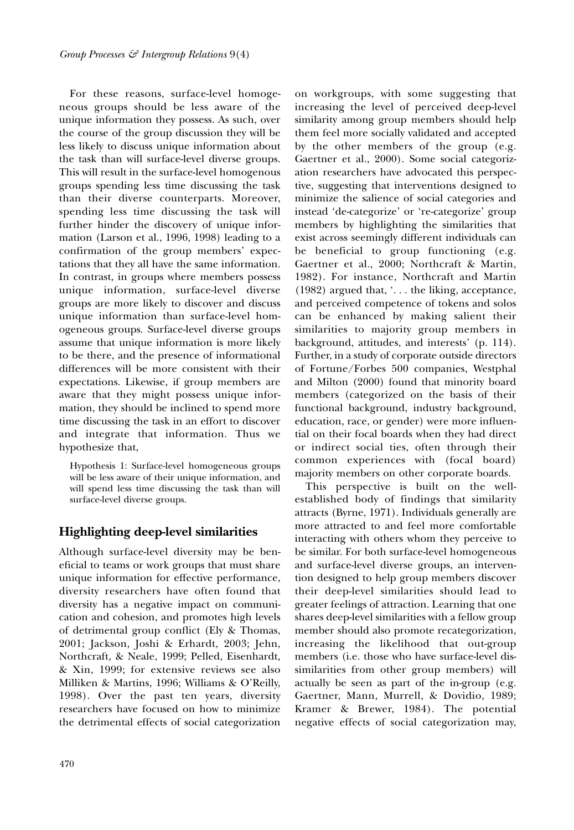For these reasons, surface-level homogeneous groups should be less aware of the unique information they possess. As such, over the course of the group discussion they will be less likely to discuss unique information about the task than will surface-level diverse groups. This will result in the surface-level homogenous groups spending less time discussing the task than their diverse counterparts. Moreover, spending less time discussing the task will further hinder the discovery of unique information (Larson et al., 1996, 1998) leading to a confirmation of the group members' expectations that they all have the same information. In contrast, in groups where members possess unique information, surface-level diverse groups are more likely to discover and discuss unique information than surface-level homogeneous groups. Surface-level diverse groups assume that unique information is more likely to be there, and the presence of informational differences will be more consistent with their expectations. Likewise, if group members are aware that they might possess unique information, they should be inclined to spend more time discussing the task in an effort to discover and integrate that information. Thus we hypothesize that,

Hypothesis 1: Surface-level homogeneous groups will be less aware of their unique information, and will spend less time discussing the task than will surface-level diverse groups.

#### **Highlighting deep-level similarities**

Although surface-level diversity may be beneficial to teams or work groups that must share unique information for effective performance, diversity researchers have often found that diversity has a negative impact on communication and cohesion, and promotes high levels of detrimental group conflict (Ely & Thomas, 2001; Jackson, Joshi & Erhardt, 2003; Jehn, Northcraft, & Neale, 1999; Pelled, Eisenhardt, & Xin, 1999; for extensive reviews see also Milliken & Martins, 1996; Williams & O'Reilly, 1998). Over the past ten years, diversity researchers have focused on how to minimize the detrimental effects of social categorization on workgroups, with some suggesting that increasing the level of perceived deep-level similarity among group members should help them feel more socially validated and accepted by the other members of the group (e.g. Gaertner et al., 2000). Some social categorization researchers have advocated this perspective, suggesting that interventions designed to minimize the salience of social categories and instead 'de-categorize' or 're-categorize' group members by highlighting the similarities that exist across seemingly different individuals can be beneficial to group functioning (e.g. Gaertner et al., 2000; Northcraft & Martin, 1982). For instance, Northcraft and Martin (1982) argued that, '. . . the liking, acceptance, and perceived competence of tokens and solos can be enhanced by making salient their similarities to majority group members in background, attitudes, and interests' (p. 114). Further, in a study of corporate outside directors of Fortune/Forbes 500 companies, Westphal and Milton (2000) found that minority board members (categorized on the basis of their functional background, industry background, education, race, or gender) were more influential on their focal boards when they had direct or indirect social ties, often through their common experiences with (focal board) majority members on other corporate boards.

This perspective is built on the wellestablished body of findings that similarity attracts (Byrne, 1971). Individuals generally are more attracted to and feel more comfortable interacting with others whom they perceive to be similar. For both surface-level homogeneous and surface-level diverse groups, an intervention designed to help group members discover their deep-level similarities should lead to greater feelings of attraction. Learning that one shares deep-level similarities with a fellow group member should also promote recategorization, increasing the likelihood that out-group members (i.e. those who have surface-level dissimilarities from other group members) will actually be seen as part of the in-group (e.g. Gaertner, Mann, Murrell, & Dovidio, 1989; Kramer & Brewer, 1984). The potential negative effects of social categorization may,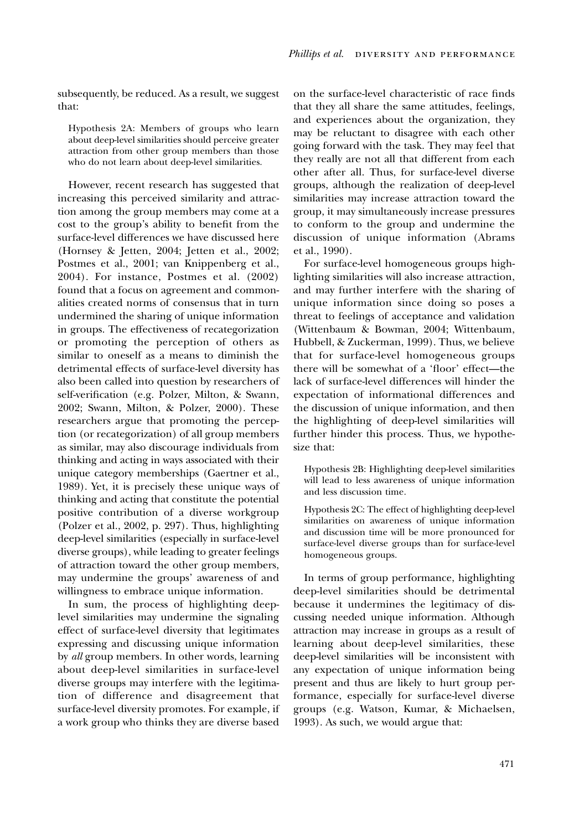subsequently, be reduced. As a result, we suggest that:

Hypothesis 2A: Members of groups who learn about deep-level similarities should perceive greater attraction from other group members than those who do not learn about deep-level similarities.

However, recent research has suggested that increasing this perceived similarity and attraction among the group members may come at a cost to the group's ability to benefit from the surface-level differences we have discussed here (Hornsey & Jetten, 2004; Jetten et al., 2002; Postmes et al., 2001; van Knippenberg et al., 2004). For instance, Postmes et al. (2002) found that a focus on agreement and commonalities created norms of consensus that in turn undermined the sharing of unique information in groups. The effectiveness of recategorization or promoting the perception of others as similar to oneself as a means to diminish the detrimental effects of surface-level diversity has also been called into question by researchers of self-verification (e.g. Polzer, Milton, & Swann, 2002; Swann, Milton, & Polzer, 2000). These researchers argue that promoting the perception (or recategorization) of all group members as similar, may also discourage individuals from thinking and acting in ways associated with their unique category memberships (Gaertner et al., 1989). Yet, it is precisely these unique ways of thinking and acting that constitute the potential positive contribution of a diverse workgroup (Polzer et al., 2002, p. 297). Thus, highlighting deep-level similarities (especially in surface-level diverse groups), while leading to greater feelings of attraction toward the other group members, may undermine the groups' awareness of and willingness to embrace unique information.

In sum, the process of highlighting deeplevel similarities may undermine the signaling effect of surface-level diversity that legitimates expressing and discussing unique information by *all* group members. In other words, learning about deep-level similarities in surface-level diverse groups may interfere with the legitimation of difference and disagreement that surface-level diversity promotes. For example, if a work group who thinks they are diverse based

on the surface-level characteristic of race finds that they all share the same attitudes, feelings, and experiences about the organization, they may be reluctant to disagree with each other going forward with the task. They may feel that they really are not all that different from each other after all. Thus, for surface-level diverse groups, although the realization of deep-level similarities may increase attraction toward the group, it may simultaneously increase pressures to conform to the group and undermine the discussion of unique information (Abrams et al., 1990).

For surface-level homogeneous groups highlighting similarities will also increase attraction, and may further interfere with the sharing of unique information since doing so poses a threat to feelings of acceptance and validation (Wittenbaum & Bowman, 2004; Wittenbaum, Hubbell, & Zuckerman, 1999). Thus, we believe that for surface-level homogeneous groups there will be somewhat of a 'floor' effect—the lack of surface-level differences will hinder the expectation of informational differences and the discussion of unique information, and then the highlighting of deep-level similarities will further hinder this process. Thus, we hypothesize that:

Hypothesis 2B: Highlighting deep-level similarities will lead to less awareness of unique information and less discussion time.

Hypothesis 2C: The effect of highlighting deep-level similarities on awareness of unique information and discussion time will be more pronounced for surface-level diverse groups than for surface-level homogeneous groups.

In terms of group performance, highlighting deep-level similarities should be detrimental because it undermines the legitimacy of discussing needed unique information. Although attraction may increase in groups as a result of learning about deep-level similarities, these deep-level similarities will be inconsistent with any expectation of unique information being present and thus are likely to hurt group performance, especially for surface-level diverse groups (e.g. Watson, Kumar, & Michaelsen, 1993). As such, we would argue that: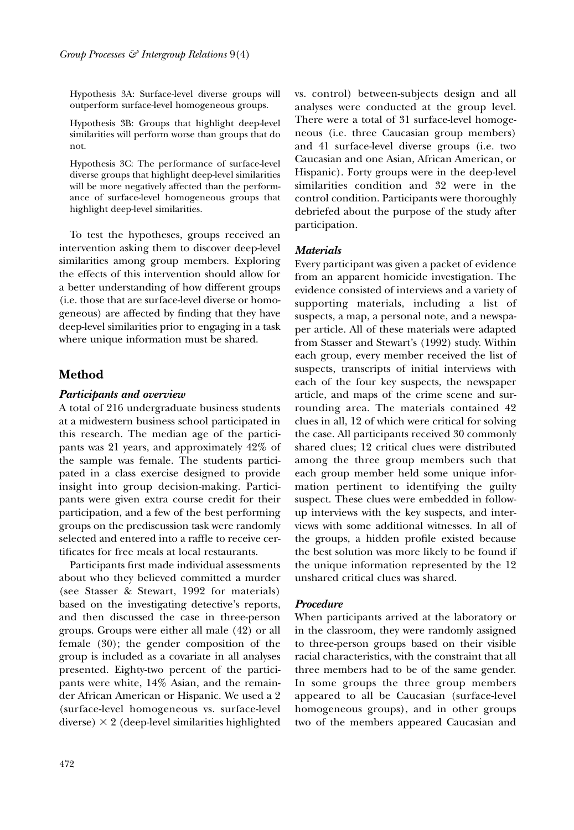Hypothesis 3A: Surface-level diverse groups will outperform surface-level homogeneous groups.

Hypothesis 3B: Groups that highlight deep-level similarities will perform worse than groups that do not.

Hypothesis 3C: The performance of surface-level diverse groups that highlight deep-level similarities will be more negatively affected than the performance of surface-level homogeneous groups that highlight deep-level similarities.

To test the hypotheses, groups received an intervention asking them to discover deep-level similarities among group members. Exploring the effects of this intervention should allow for a better understanding of how different groups (i.e. those that are surface-level diverse or homogeneous) are affected by finding that they have deep-level similarities prior to engaging in a task where unique information must be shared.

#### **Method**

#### *Participants and overview*

A total of 216 undergraduate business students at a midwestern business school participated in this research. The median age of the participants was 21 years, and approximately 42% of the sample was female. The students participated in a class exercise designed to provide insight into group decision-making. Participants were given extra course credit for their participation, and a few of the best performing groups on the prediscussion task were randomly selected and entered into a raffle to receive certificates for free meals at local restaurants.

Participants first made individual assessments about who they believed committed a murder (see Stasser & Stewart, 1992 for materials) based on the investigating detective's reports, and then discussed the case in three-person groups. Groups were either all male (42) or all female (30); the gender composition of the group is included as a covariate in all analyses presented. Eighty-two percent of the participants were white, 14% Asian, and the remainder African American or Hispanic. We used a 2 (surface-level homogeneous vs. surface-level diverse)  $\times$  2 (deep-level similarities highlighted vs. control) between-subjects design and all analyses were conducted at the group level. There were a total of 31 surface-level homogeneous (i.e. three Caucasian group members) and 41 surface-level diverse groups (i.e. two Caucasian and one Asian, African American, or Hispanic). Forty groups were in the deep-level similarities condition and 32 were in the control condition. Participants were thoroughly debriefed about the purpose of the study after participation.

#### *Materials*

Every participant was given a packet of evidence from an apparent homicide investigation. The evidence consisted of interviews and a variety of supporting materials, including a list of suspects, a map, a personal note, and a newspaper article. All of these materials were adapted from Stasser and Stewart's (1992) study. Within each group, every member received the list of suspects, transcripts of initial interviews with each of the four key suspects, the newspaper article, and maps of the crime scene and surrounding area. The materials contained 42 clues in all, 12 of which were critical for solving the case. All participants received 30 commonly shared clues; 12 critical clues were distributed among the three group members such that each group member held some unique information pertinent to identifying the guilty suspect. These clues were embedded in followup interviews with the key suspects, and interviews with some additional witnesses. In all of the groups, a hidden profile existed because the best solution was more likely to be found if the unique information represented by the 12 unshared critical clues was shared.

#### *Procedure*

When participants arrived at the laboratory or in the classroom, they were randomly assigned to three-person groups based on their visible racial characteristics, with the constraint that all three members had to be of the same gender. In some groups the three group members appeared to all be Caucasian (surface-level homogeneous groups), and in other groups two of the members appeared Caucasian and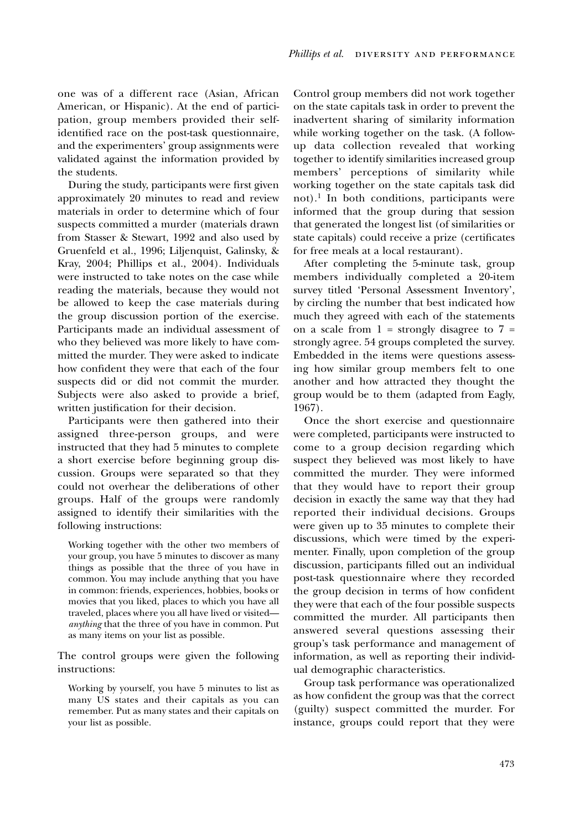one was of a different race (Asian, African American, or Hispanic). At the end of participation, group members provided their selfidentified race on the post-task questionnaire, and the experimenters' group assignments were validated against the information provided by the students.

During the study, participants were first given approximately 20 minutes to read and review materials in order to determine which of four suspects committed a murder (materials drawn from Stasser & Stewart, 1992 and also used by Gruenfeld et al., 1996; Liljenquist, Galinsky, & Kray, 2004; Phillips et al., 2004). Individuals were instructed to take notes on the case while reading the materials, because they would not be allowed to keep the case materials during the group discussion portion of the exercise. Participants made an individual assessment of who they believed was more likely to have committed the murder. They were asked to indicate how confident they were that each of the four suspects did or did not commit the murder. Subjects were also asked to provide a brief, written justification for their decision.

Participants were then gathered into their assigned three-person groups, and were instructed that they had 5 minutes to complete a short exercise before beginning group discussion. Groups were separated so that they could not overhear the deliberations of other groups. Half of the groups were randomly assigned to identify their similarities with the following instructions:

Working together with the other two members of your group, you have 5 minutes to discover as many things as possible that the three of you have in common. You may include anything that you have in common: friends, experiences, hobbies, books or movies that you liked, places to which you have all traveled, places where you all have lived or visited *anything* that the three of you have in common. Put as many items on your list as possible.

The control groups were given the following instructions:

Working by yourself, you have 5 minutes to list as many US states and their capitals as you can remember. Put as many states and their capitals on your list as possible.

Control group members did not work together on the state capitals task in order to prevent the inadvertent sharing of similarity information while working together on the task. (A followup data collection revealed that working together to identify similarities increased group members' perceptions of similarity while working together on the state capitals task did not).1 In both conditions, participants were informed that the group during that session that generated the longest list (of similarities or state capitals) could receive a prize (certificates for free meals at a local restaurant).

After completing the 5-minute task, group members individually completed a 20-item survey titled 'Personal Assessment Inventory', by circling the number that best indicated how much they agreed with each of the statements on a scale from  $1 =$  strongly disagree to  $7 =$ strongly agree. 54 groups completed the survey. Embedded in the items were questions assessing how similar group members felt to one another and how attracted they thought the group would be to them (adapted from Eagly, 1967).

Once the short exercise and questionnaire were completed, participants were instructed to come to a group decision regarding which suspect they believed was most likely to have committed the murder. They were informed that they would have to report their group decision in exactly the same way that they had reported their individual decisions. Groups were given up to 35 minutes to complete their discussions, which were timed by the experimenter. Finally, upon completion of the group discussion, participants filled out an individual post-task questionnaire where they recorded the group decision in terms of how confident they were that each of the four possible suspects committed the murder. All participants then answered several questions assessing their group's task performance and management of information, as well as reporting their individual demographic characteristics.

Group task performance was operationalized as how confident the group was that the correct (guilty) suspect committed the murder. For instance, groups could report that they were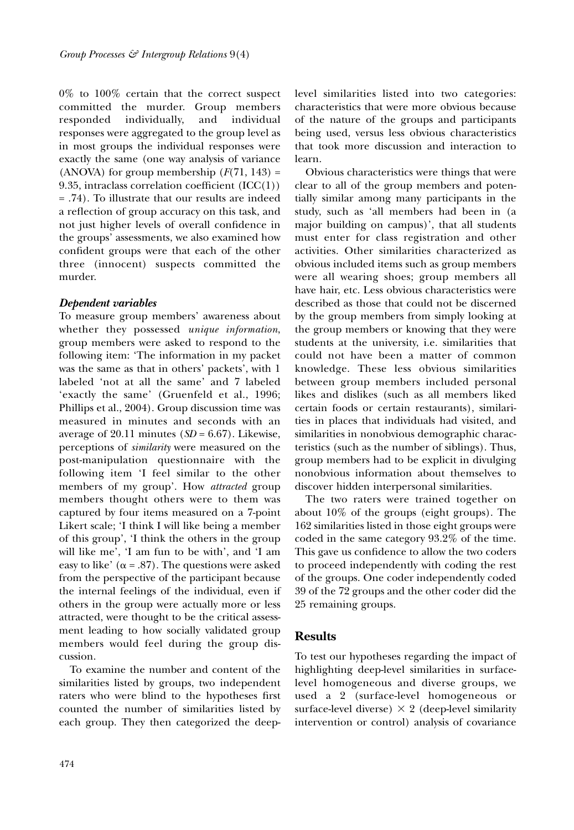0% to 100% certain that the correct suspect committed the murder. Group members responded individually, and individual responses were aggregated to the group level as in most groups the individual responses were exactly the same (one way analysis of variance (ANOVA) for group membership  $(F(71, 143)) =$ 9.35, intraclass correlation coefficient (ICC(1)) = .74). To illustrate that our results are indeed a reflection of group accuracy on this task, and not just higher levels of overall confidence in the groups' assessments, we also examined how confident groups were that each of the other three (innocent) suspects committed the murder.

#### *Dependent variables*

To measure group members' awareness about whether they possessed *unique information*, group members were asked to respond to the following item: 'The information in my packet was the same as that in others' packets', with 1 labeled 'not at all the same' and 7 labeled 'exactly the same' (Gruenfeld et al., 1996; Phillips et al., 2004). Group discussion time was measured in minutes and seconds with an average of 20.11 minutes  $(SD = 6.67)$ . Likewise, perceptions of *similarity* were measured on the post-manipulation questionnaire with the following item 'I feel similar to the other members of my group'. How *attracted* group members thought others were to them was captured by four items measured on a 7-point Likert scale; 'I think I will like being a member of this group', 'I think the others in the group will like me', 'I am fun to be with', and 'I am easy to like'  $(\alpha = .87)$ . The questions were asked from the perspective of the participant because the internal feelings of the individual, even if others in the group were actually more or less attracted, were thought to be the critical assessment leading to how socially validated group members would feel during the group discussion.

To examine the number and content of the similarities listed by groups, two independent raters who were blind to the hypotheses first counted the number of similarities listed by each group. They then categorized the deeplevel similarities listed into two categories: characteristics that were more obvious because of the nature of the groups and participants being used, versus less obvious characteristics that took more discussion and interaction to learn.

Obvious characteristics were things that were clear to all of the group members and potentially similar among many participants in the study, such as 'all members had been in (a major building on campus)', that all students must enter for class registration and other activities. Other similarities characterized as obvious included items such as group members were all wearing shoes; group members all have hair, etc. Less obvious characteristics were described as those that could not be discerned by the group members from simply looking at the group members or knowing that they were students at the university, i.e. similarities that could not have been a matter of common knowledge. These less obvious similarities between group members included personal likes and dislikes (such as all members liked certain foods or certain restaurants), similarities in places that individuals had visited, and similarities in nonobvious demographic characteristics (such as the number of siblings). Thus, group members had to be explicit in divulging nonobvious information about themselves to discover hidden interpersonal similarities.

The two raters were trained together on about 10% of the groups (eight groups). The 162 similarities listed in those eight groups were coded in the same category 93.2% of the time. This gave us confidence to allow the two coders to proceed independently with coding the rest of the groups. One coder independently coded 39 of the 72 groups and the other coder did the 25 remaining groups.

#### **Results**

To test our hypotheses regarding the impact of highlighting deep-level similarities in surfacelevel homogeneous and diverse groups, we used a 2 (surface-level homogeneous or surface-level diverse)  $\times$  2 (deep-level similarity intervention or control) analysis of covariance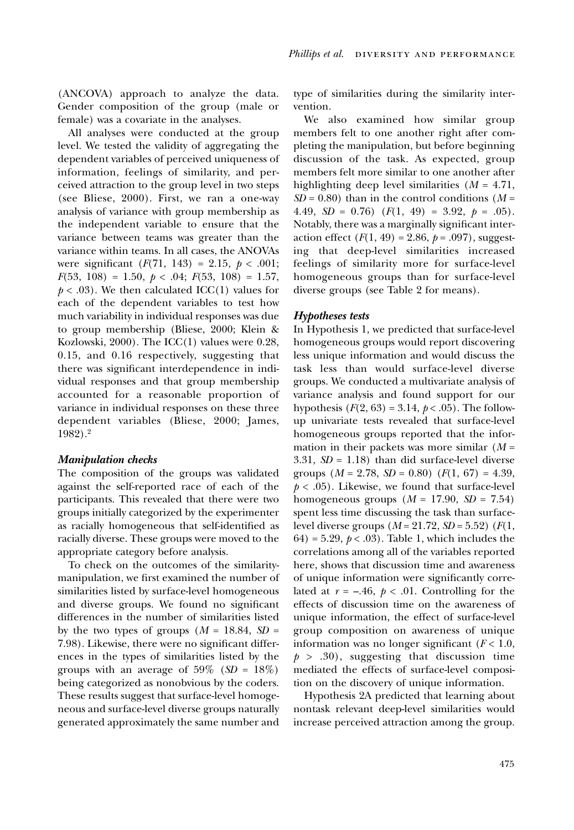(ANCOVA) approach to analyze the data. Gender composition of the group (male or female) was a covariate in the analyses.

All analyses were conducted at the group level. We tested the validity of aggregating the dependent variables of perceived uniqueness of information, feelings of similarity, and perceived attraction to the group level in two steps (see Bliese, 2000). First, we ran a one-way analysis of variance with group membership as the independent variable to ensure that the variance between teams was greater than the variance within teams. In all cases, the ANOVAs were significant  $(F(71, 143) = 2.15, p < .001;$ *F*(53, 108) = 1.50, *p* < .04; *F*(53, 108) = 1.57,  $p < .03$ ). We then calculated ICC(1) values for each of the dependent variables to test how much variability in individual responses was due to group membership (Bliese, 2000; Klein & Kozlowski, 2000). The ICC(1) values were 0.28, 0.15, and 0.16 respectively, suggesting that there was significant interdependence in individual responses and that group membership accounted for a reasonable proportion of variance in individual responses on these three dependent variables (Bliese, 2000; James, 1982).2

#### *Manipulation checks*

The composition of the groups was validated against the self-reported race of each of the participants. This revealed that there were two groups initially categorized by the experimenter as racially homogeneous that self-identified as racially diverse. These groups were moved to the appropriate category before analysis.

To check on the outcomes of the similaritymanipulation, we first examined the number of similarities listed by surface-level homogeneous and diverse groups. We found no significant differences in the number of similarities listed by the two types of groups  $(M = 18.84, SD =$ 7.98). Likewise, there were no significant differences in the types of similarities listed by the groups with an average of 59% ( $SD = 18\%$ ) being categorized as nonobvious by the coders. These results suggest that surface-level homogeneous and surface-level diverse groups naturally generated approximately the same number and

type of similarities during the similarity intervention.

We also examined how similar group members felt to one another right after completing the manipulation, but before beginning discussion of the task. As expected, group members felt more similar to one another after highlighting deep level similarities (*M* = 4.71,  $SD = 0.80$ ) than in the control conditions ( $M =$ 4.49,  $SD = 0.76$  ( $F(1, 49) = 3.92$ ,  $p = .05$ ). Notably, there was a marginally significant interaction effect  $(F(1, 49) = 2.86, p = .097)$ , suggesting that deep-level similarities increased feelings of similarity more for surface-level homogeneous groups than for surface-level diverse groups (see Table 2 for means).

#### *Hypotheses tests*

In Hypothesis 1, we predicted that surface-level homogeneous groups would report discovering less unique information and would discuss the task less than would surface-level diverse groups. We conducted a multivariate analysis of variance analysis and found support for our hypothesis  $(F(2, 63) = 3.14, p < .05)$ . The followup univariate tests revealed that surface-level homogeneous groups reported that the information in their packets was more similar (*M* = 3.31,  $SD = 1.18$ ) than did surface-level diverse groups  $(M = 2.78, SD = 0.80)$   $(F(1, 67) = 4.39,$  $p < .05$ ). Likewise, we found that surface-level homogeneous groups  $(M = 17.90, SD = 7.54)$ spent less time discussing the task than surfacelevel diverse groups (*M* = 21.72, *SD* = 5.52) (*F*(1, 64) = 5.29,  $p < .03$ ). Table 1, which includes the correlations among all of the variables reported here, shows that discussion time and awareness of unique information were significantly correlated at  $r = -.46$ ,  $p < .01$ . Controlling for the effects of discussion time on the awareness of unique information, the effect of surface-level group composition on awareness of unique information was no longer significant  $(F < 1.0$ ,  $p > .30$ , suggesting that discussion time mediated the effects of surface-level composition on the discovery of unique information.

Hypothesis 2A predicted that learning about nontask relevant deep-level similarities would increase perceived attraction among the group.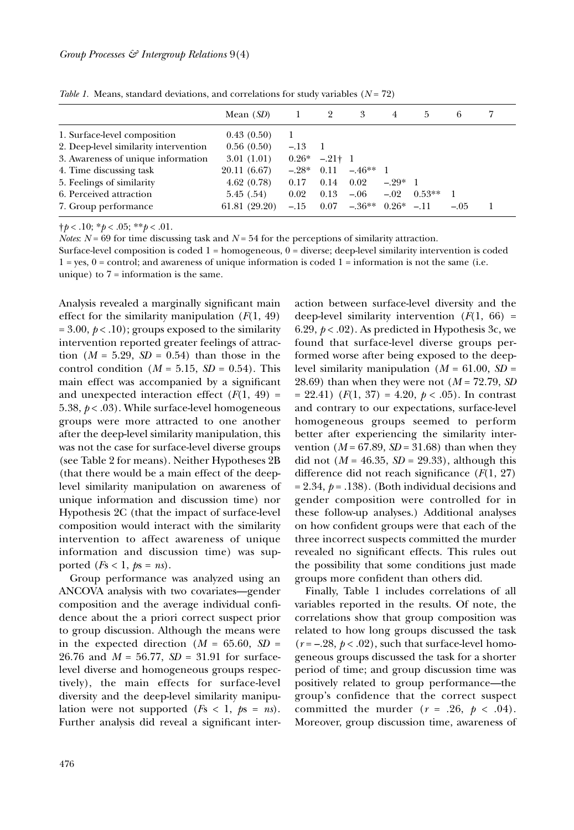|                                       | Mean $(SD)$   |         | 2        | 3        | $\overline{4}$ | 5        | 6      |  |
|---------------------------------------|---------------|---------|----------|----------|----------------|----------|--------|--|
| 1. Surface-level composition          | 0.43(0.50)    | ı       |          |          |                |          |        |  |
| 2. Deep-level similarity intervention | 0.56(0.50)    | $-.13$  |          |          |                |          |        |  |
| 3. Awareness of unique information    | 3.01(1.01)    | $0.26*$ | $-.21+1$ |          |                |          |        |  |
| 4. Time discussing task               | 20.11 (6.67)  | $-.28*$ | 0.11     | $-.46**$ | - 1            |          |        |  |
| 5. Feelings of similarity             | 4.62(0.78)    | 0.17    | 0.14     | 0.02     | $-.29*1$       |          |        |  |
| 6. Perceived attraction               | 5.45(.54)     | 0.02    | 0.13     | $-.06$   | $-.02$         | $0.53**$ |        |  |
| 7. Group performance                  | 61.81 (29.20) | $-.15$  | 0.07     | $-.36**$ | $0.26* -11$    |          | $-.05$ |  |

*Table 1.* Means, standard deviations, and correlations for study variables  $(N = 72)$ 

†*p* < .10; \**p* < .05; \*\**p* < .01.

*Notes*: *N* = 69 for time discussing task and *N* = 54 for the perceptions of similarity attraction. Surface-level composition is coded  $1 =$  homogeneous,  $0 =$  diverse; deep-level similarity intervention is coded  $1 = yes$ ,  $0 = control$ ; and awareness of unique information is coded  $1 = information$  information is not the same (i.e. unique) to  $7 =$  information is the same.

Analysis revealed a marginally significant main effect for the similarity manipulation (*F*(1, 49)  $= 3.00, p < .10$ ; groups exposed to the similarity intervention reported greater feelings of attraction  $(M = 5.29, SD = 0.54)$  than those in the control condition ( $M = 5.15$ ,  $SD = 0.54$ ). This main effect was accompanied by a significant and unexpected interaction effect  $(F(1, 49))$ 5.38, *p* < .03). While surface-level homogeneous groups were more attracted to one another after the deep-level similarity manipulation, this was not the case for surface-level diverse groups (see Table 2 for means). Neither Hypotheses 2B (that there would be a main effect of the deeplevel similarity manipulation on awareness of unique information and discussion time) nor Hypothesis 2C (that the impact of surface-level composition would interact with the similarity intervention to affect awareness of unique information and discussion time) was supported  $(Fs < 1, ps = ns)$ .

Group performance was analyzed using an ANCOVA analysis with two covariates—gender composition and the average individual confidence about the a priori correct suspect prior to group discussion. Although the means were in the expected direction  $(M = 65.60, SD =$ 26.76 and *M* = 56.77, *SD* = 31.91 for surfacelevel diverse and homogeneous groups respectively), the main effects for surface-level diversity and the deep-level similarity manipulation were not supported  $(Fs < 1, ps = ns)$ . Further analysis did reveal a significant interaction between surface-level diversity and the deep-level similarity intervention  $(F(1, 66))$  = 6.29,  $p < .02$ ). As predicted in Hypothesis 3c, we found that surface-level diverse groups performed worse after being exposed to the deeplevel similarity manipulation ( $M = 61.00$ ,  $SD =$ 28.69) than when they were not (*M* = 72.79, *SD*  $= 22.41$ ) ( $F(1, 37) = 4.20, p < .05$ ). In contrast and contrary to our expectations, surface-level homogeneous groups seemed to perform better after experiencing the similarity intervention  $(M = 67.89, SD = 31.68)$  than when they did not ( $M = 46.35$ ,  $SD = 29.33$ ), although this difference did not reach significance (*F*(1, 27)  $= 2.34, p = .138$ ). (Both individual decisions and gender composition were controlled for in these follow-up analyses.) Additional analyses on how confident groups were that each of the three incorrect suspects committed the murder revealed no significant effects. This rules out the possibility that some conditions just made groups more confident than others did.

Finally, Table 1 includes correlations of all variables reported in the results. Of note, the correlations show that group composition was related to how long groups discussed the task  $(r = -.28, p < .02)$ , such that surface-level homogeneous groups discussed the task for a shorter period of time; and group discussion time was positively related to group performance—the group's confidence that the correct suspect committed the murder  $(r = .26, p < .04)$ . Moreover, group discussion time, awareness of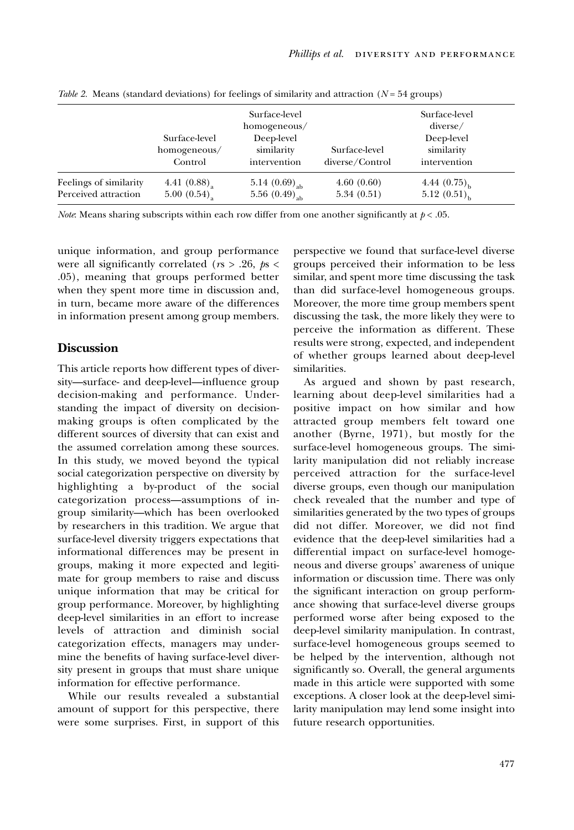|                        | Surface-level<br>homogeneous/<br>Control | Surface-level<br>homogeneous/<br>Deep-level<br>similarity<br>intervention | Surface-level<br>diverse/Control | Surface-level<br>diverse/<br>Deep-level<br>similarity<br>intervention |  |
|------------------------|------------------------------------------|---------------------------------------------------------------------------|----------------------------------|-----------------------------------------------------------------------|--|
| Feelings of similarity | 4.41 $(0.88)$ <sub>2</sub>               | 5.14 $(0.69)_{ab}$                                                        | 4.60(0.60)                       | 4.44 $(0.75)_{h}$                                                     |  |
| Perceived attraction   | 5.00(0.54)                               | 5.56 $(0.49)_{ab}$                                                        | 5.34(0.51)                       | 5.12(0.51)                                                            |  |

*Table 2.* Means (standard deviations) for feelings of similarity and attraction (*N* = 54 groups)

*Note*: Means sharing subscripts within each row differ from one another significantly at  $p < .05$ .

unique information, and group performance were all significantly correlated (*r*s > .26, *p*s < .05), meaning that groups performed better when they spent more time in discussion and, in turn, became more aware of the differences in information present among group members.

#### **Discussion**

This article reports how different types of diversity—surface- and deep-level—influence group decision-making and performance. Understanding the impact of diversity on decisionmaking groups is often complicated by the different sources of diversity that can exist and the assumed correlation among these sources. In this study, we moved beyond the typical social categorization perspective on diversity by highlighting a by-product of the social categorization process—assumptions of ingroup similarity—which has been overlooked by researchers in this tradition. We argue that surface-level diversity triggers expectations that informational differences may be present in groups, making it more expected and legitimate for group members to raise and discuss unique information that may be critical for group performance. Moreover, by highlighting deep-level similarities in an effort to increase levels of attraction and diminish social categorization effects, managers may undermine the benefits of having surface-level diversity present in groups that must share unique information for effective performance.

While our results revealed a substantial amount of support for this perspective, there were some surprises. First, in support of this perspective we found that surface-level diverse groups perceived their information to be less similar, and spent more time discussing the task than did surface-level homogeneous groups. Moreover, the more time group members spent discussing the task, the more likely they were to perceive the information as different. These results were strong, expected, and independent of whether groups learned about deep-level similarities.

As argued and shown by past research, learning about deep-level similarities had a positive impact on how similar and how attracted group members felt toward one another (Byrne, 1971), but mostly for the surface-level homogeneous groups. The similarity manipulation did not reliably increase perceived attraction for the surface-level diverse groups, even though our manipulation check revealed that the number and type of similarities generated by the two types of groups did not differ. Moreover, we did not find evidence that the deep-level similarities had a differential impact on surface-level homogeneous and diverse groups' awareness of unique information or discussion time. There was only the significant interaction on group performance showing that surface-level diverse groups performed worse after being exposed to the deep-level similarity manipulation. In contrast, surface-level homogeneous groups seemed to be helped by the intervention, although not significantly so. Overall, the general arguments made in this article were supported with some exceptions. A closer look at the deep-level similarity manipulation may lend some insight into future research opportunities.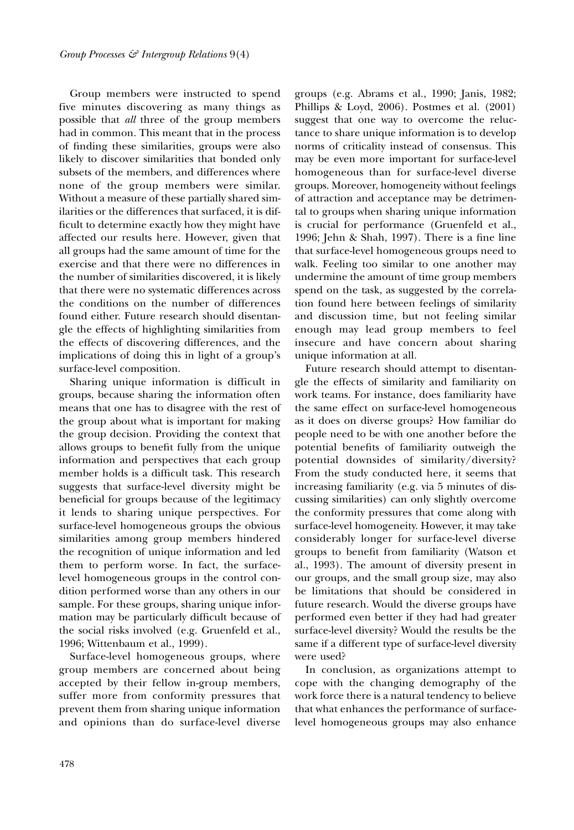Group members were instructed to spend five minutes discovering as many things as possible that *all* three of the group members had in common. This meant that in the process of finding these similarities, groups were also likely to discover similarities that bonded only subsets of the members, and differences where none of the group members were similar. Without a measure of these partially shared similarities or the differences that surfaced, it is difficult to determine exactly how they might have affected our results here. However, given that all groups had the same amount of time for the exercise and that there were no differences in the number of similarities discovered, it is likely that there were no systematic differences across the conditions on the number of differences found either. Future research should disentangle the effects of highlighting similarities from the effects of discovering differences, and the implications of doing this in light of a group's surface-level composition.

Sharing unique information is difficult in groups, because sharing the information often means that one has to disagree with the rest of the group about what is important for making the group decision. Providing the context that allows groups to benefit fully from the unique information and perspectives that each group member holds is a difficult task. This research suggests that surface-level diversity might be beneficial for groups because of the legitimacy it lends to sharing unique perspectives. For surface-level homogeneous groups the obvious similarities among group members hindered the recognition of unique information and led them to perform worse. In fact, the surfacelevel homogeneous groups in the control condition performed worse than any others in our sample. For these groups, sharing unique information may be particularly difficult because of the social risks involved (e.g. Gruenfeld et al., 1996; Wittenbaum et al., 1999).

Surface-level homogeneous groups, where group members are concerned about being accepted by their fellow in-group members, suffer more from conformity pressures that prevent them from sharing unique information and opinions than do surface-level diverse groups (e.g. Abrams et al., 1990; Janis, 1982; Phillips & Loyd, 2006). Postmes et al. (2001) suggest that one way to overcome the reluctance to share unique information is to develop norms of criticality instead of consensus. This may be even more important for surface-level homogeneous than for surface-level diverse groups. Moreover, homogeneity without feelings of attraction and acceptance may be detrimental to groups when sharing unique information is crucial for performance (Gruenfeld et al., 1996; Jehn & Shah, 1997). There is a fine line that surface-level homogeneous groups need to walk. Feeling too similar to one another may undermine the amount of time group members spend on the task, as suggested by the correlation found here between feelings of similarity and discussion time, but not feeling similar enough may lead group members to feel insecure and have concern about sharing unique information at all.

Future research should attempt to disentangle the effects of similarity and familiarity on work teams. For instance, does familiarity have the same effect on surface-level homogeneous as it does on diverse groups? How familiar do people need to be with one another before the potential benefits of familiarity outweigh the potential downsides of similarity/diversity? From the study conducted here, it seems that increasing familiarity (e.g. via 5 minutes of discussing similarities) can only slightly overcome the conformity pressures that come along with surface-level homogeneity. However, it may take considerably longer for surface-level diverse groups to benefit from familiarity (Watson et al., 1993). The amount of diversity present in our groups, and the small group size, may also be limitations that should be considered in future research. Would the diverse groups have performed even better if they had had greater surface-level diversity? Would the results be the same if a different type of surface-level diversity were used?

In conclusion, as organizations attempt to cope with the changing demography of the work force there is a natural tendency to believe that what enhances the performance of surfacelevel homogeneous groups may also enhance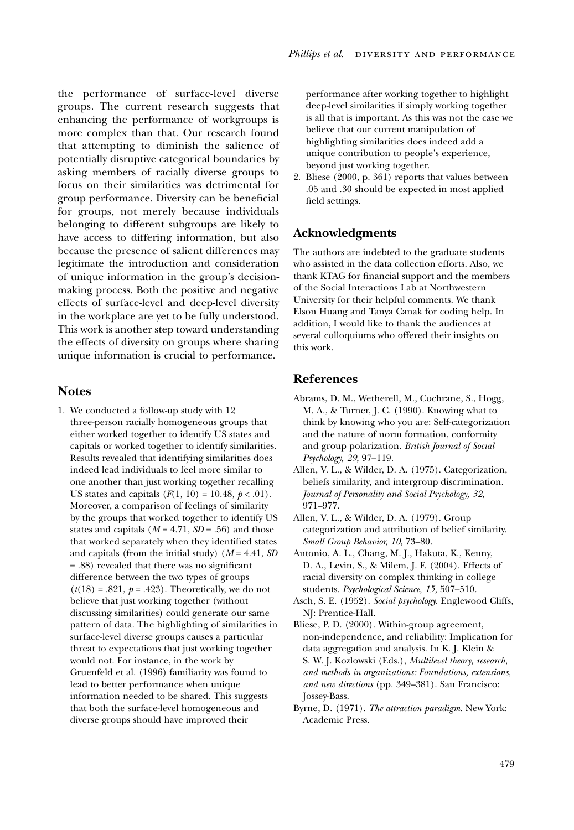the performance of surface-level diverse groups. The current research suggests that enhancing the performance of workgroups is more complex than that. Our research found that attempting to diminish the salience of potentially disruptive categorical boundaries by asking members of racially diverse groups to focus on their similarities was detrimental for group performance. Diversity can be beneficial for groups, not merely because individuals belonging to different subgroups are likely to have access to differing information, but also because the presence of salient differences may legitimate the introduction and consideration of unique information in the group's decisionmaking process. Both the positive and negative effects of surface-level and deep-level diversity in the workplace are yet to be fully understood. This work is another step toward understanding the effects of diversity on groups where sharing unique information is crucial to performance.

#### **Notes**

1. We conducted a follow-up study with 12 three-person racially homogeneous groups that either worked together to identify US states and capitals or worked together to identify similarities. Results revealed that identifying similarities does indeed lead individuals to feel more similar to one another than just working together recalling US states and capitals  $(F(1, 10) = 10.48, p < .01)$ . Moreover, a comparison of feelings of similarity by the groups that worked together to identify US states and capitals  $(M = 4.71, SD = .56)$  and those that worked separately when they identified states and capitals (from the initial study) (*M* = 4.41, *SD* = .88) revealed that there was no significant difference between the two types of groups  $(t(18) = .821, p = .423)$ . Theoretically, we do not believe that just working together (without discussing similarities) could generate our same pattern of data. The highlighting of similarities in surface-level diverse groups causes a particular threat to expectations that just working together would not. For instance, in the work by Gruenfeld et al. (1996) familiarity was found to lead to better performance when unique information needed to be shared. This suggests that both the surface-level homogeneous and diverse groups should have improved their

performance after working together to highlight deep-level similarities if simply working together is all that is important. As this was not the case we believe that our current manipulation of highlighting similarities does indeed add a unique contribution to people's experience, beyond just working together.

2. Bliese (2000, p. 361) reports that values between .05 and .30 should be expected in most applied field settings.

#### **Acknowledgments**

The authors are indebted to the graduate students who assisted in the data collection efforts. Also, we thank KTAG for financial support and the members of the Social Interactions Lab at Northwestern University for their helpful comments. We thank Elson Huang and Tanya Canak for coding help. In addition, I would like to thank the audiences at several colloquiums who offered their insights on this work.

#### **References**

- Abrams, D. M., Wetherell, M., Cochrane, S., Hogg, M. A., & Turner, J. C. (1990). Knowing what to think by knowing who you are: Self-categorization and the nature of norm formation, conformity and group polarization. *British Journal of Social Psychology, 29*, 97–119.
- Allen, V. L., & Wilder, D. A. (1975). Categorization, beliefs similarity, and intergroup discrimination. *Journal of Personality and Social Psychology, 32*, 971–977.
- Allen, V. L., & Wilder, D. A. (1979). Group categorization and attribution of belief similarity. *Small Group Behavior, 10*, 73–80.
- Antonio, A. L., Chang, M. J., Hakuta, K., Kenny, D. A., Levin, S., & Milem, J. F. (2004). Effects of racial diversity on complex thinking in college students. *Psychological Science, 15*, 507–510.
- Asch, S. E. (1952). *Social psychology*. Englewood Cliffs, NJ: Prentice-Hall.
- Bliese, P. D. (2000). Within-group agreement, non-independence, and reliability: Implication for data aggregation and analysis. In K. J. Klein & S. W. J. Kozlowski (Eds.), *Multilevel theory, research, and methods in organizations: Foundations, extensions, and new directions* (pp. 349–381). San Francisco: Jossey-Bass.
- Byrne, D. (1971). *The attraction paradigm*. New York: Academic Press.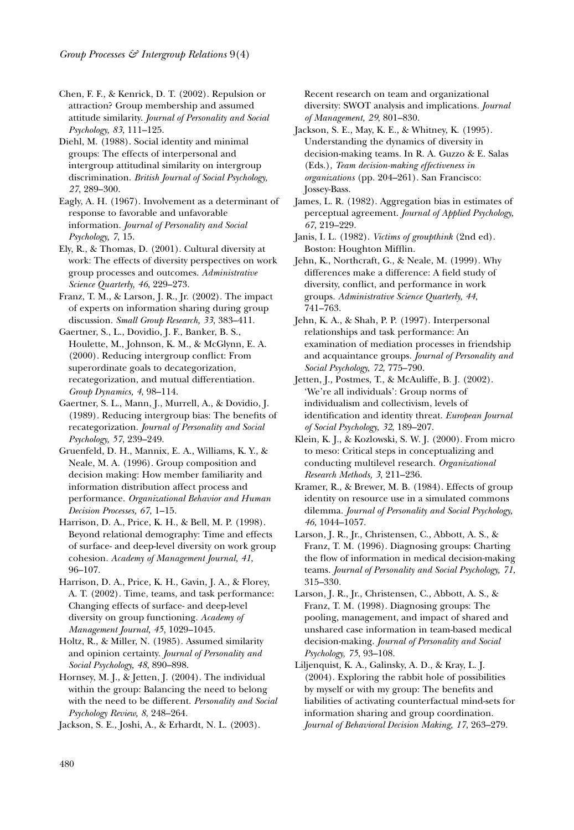Chen, F. F., & Kenrick, D. T. (2002). Repulsion or attraction? Group membership and assumed attitude similarity. *Journal of Personality and Social Psychology, 83*, 111–125.

Diehl, M. (1988). Social identity and minimal groups: The effects of interpersonal and intergroup attitudinal similarity on intergroup discrimination. *British Journal of Social Psychology, 27*, 289–300.

Eagly, A. H. (1967). Involvement as a determinant of response to favorable and unfavorable information. *Journal of Personality and Social Psychology, 7*, 15.

Ely, R., & Thomas, D. (2001). Cultural diversity at work: The effects of diversity perspectives on work group processes and outcomes. *Administrative Science Quarterly, 46*, 229–273.

Franz, T. M., & Larson, J. R., Jr. (2002). The impact of experts on information sharing during group discussion. *Small Group Research, 33*, 383–411.

Gaertner, S., L., Dovidio, J. F., Banker, B. S., Houlette, M., Johnson, K. M., & McGlynn, E. A. (2000). Reducing intergroup conflict: From superordinate goals to decategorization, recategorization, and mutual differentiation. *Group Dynamics, 4*, 98–114.

Gaertner, S. L., Mann, J., Murrell, A., & Dovidio, J. (1989). Reducing intergroup bias: The benefits of recategorization. *Journal of Personality and Social Psychology, 57*, 239–249.

Gruenfeld, D. H., Mannix, E. A., Williams, K. Y., & Neale, M. A. (1996). Group composition and decision making: How member familiarity and information distribution affect process and performance. *Organizational Behavior and Human Decision Processes, 67,* 1–15.

Harrison, D. A., Price, K. H., & Bell, M. P. (1998). Beyond relational demography: Time and effects of surface- and deep-level diversity on work group cohesion. *Academy of Management Journal, 41*, 96–107.

Harrison, D. A., Price, K. H., Gavin, J. A., & Florey, A. T. (2002). Time, teams, and task performance: Changing effects of surface- and deep-level diversity on group functioning. *Academy of Management Journal, 45*, 1029–1045.

Holtz, R., & Miller, N. (1985). Assumed similarity and opinion certainty. *Journal of Personality and Social Psychology, 48*, 890–898.

Hornsey, M. J., & Jetten, J. (2004). The individual within the group: Balancing the need to belong with the need to be different. *Personality and Social Psychology Review, 8*, 248–264.

Jackson, S. E., Joshi, A., & Erhardt, N. L. (2003).

Recent research on team and organizational diversity: SWOT analysis and implications. *Journal of Management, 29*, 801–830.

Jackson, S. E., May, K. E., & Whitney, K. (1995). Understanding the dynamics of diversity in decision-making teams. In R. A. Guzzo & E. Salas (Eds.), *Team decision-making effectiveness in organizations* (pp. 204–261). San Francisco: Jossey-Bass.

James, L. R. (1982). Aggregation bias in estimates of perceptual agreement. *Journal of Applied Psychology, 67*, 219–229.

Janis, I. L. (1982). *Victims of groupthink* (2nd ed). Boston: Houghton Mifflin.

Jehn, K., Northcraft, G., & Neale, M. (1999). Why differences make a difference: A field study of diversity, conflict, and performance in work groups. *Administrative Science Quarterly, 44*, 741–763.

Jehn, K. A., & Shah, P. P. (1997). Interpersonal relationships and task performance: An examination of mediation processes in friendship and acquaintance groups. *Journal of Personality and Social Psychology, 72*, 775–790.

Jetten, J., Postmes, T., & McAuliffe, B. J. (2002). 'We're all individuals': Group norms of individualism and collectivism, levels of identification and identity threat. *European Journal of Social Psychology, 32*, 189–207.

Klein, K. J., & Kozlowski, S. W. J. (2000). From micro to meso: Critical steps in conceptualizing and conducting multilevel research. *Organizational Research Methods, 3*, 211–236.

Kramer, R., & Brewer, M. B. (1984). Effects of group identity on resource use in a simulated commons dilemma. *Journal of Personality and Social Psychology, 46*, 1044–1057.

Larson, J. R., Jr., Christensen, C., Abbott, A. S., & Franz, T. M. (1996). Diagnosing groups: Charting the flow of information in medical decision-making teams. *Journal of Personality and Social Psychology, 71*, 315–330.

Larson, J. R., Jr., Christensen, C., Abbott, A. S., & Franz, T. M. (1998). Diagnosing groups: The pooling, management, and impact of shared and unshared case information in team-based medical decision-making. *Journal of Personality and Social Psychology, 75*, 93–108.

Liljenquist, K. A., Galinsky, A. D., & Kray, L. J. (2004). Exploring the rabbit hole of possibilities by myself or with my group: The benefits and liabilities of activating counterfactual mind-sets for information sharing and group coordination. *Journal of Behavioral Decision Making, 17*, 263–279.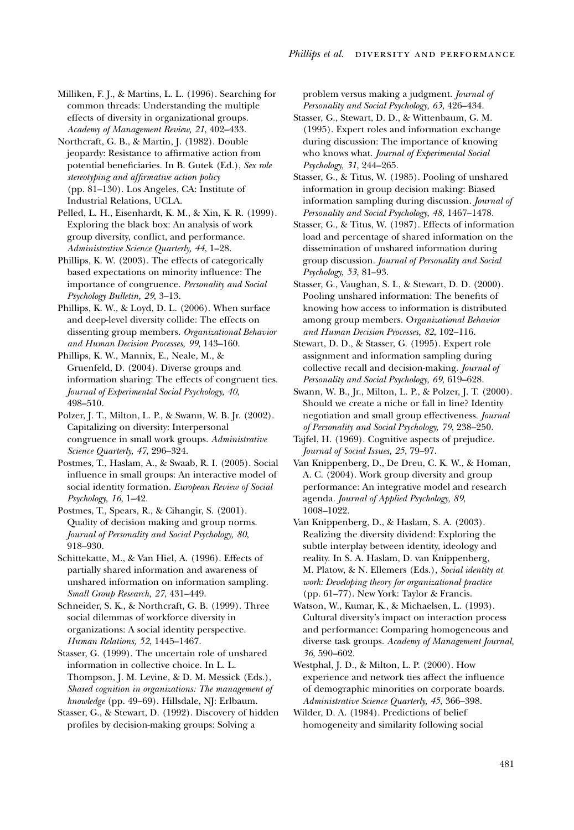Milliken, F. J., & Martins, L. L. (1996). Searching for common threads: Understanding the multiple effects of diversity in organizational groups. *Academy of Management Review, 21*, 402–433.

Northcraft, G. B., & Martin, J. (1982). Double jeopardy: Resistance to affirmative action from potential beneficiaries. In B. Gutek (Ed.), *Sex role stereotyping and affirmative action policy* (pp. 81–130). Los Angeles, CA: Institute of Industrial Relations, UCLA.

Pelled, L. H., Eisenhardt, K. M., & Xin, K. R. (1999). Exploring the black box: An analysis of work group diversity, conflict, and performance. *Administrative Science Quarterly, 44*, 1–28.

Phillips, K. W. (2003). The effects of categorically based expectations on minority influence: The importance of congruence. *Personality and Social Psychology Bulletin, 29*, 3–13.

Phillips, K. W., & Loyd, D. L. (2006). When surface and deep-level diversity collide: The effects on dissenting group members. *Organizational Behavior and Human Decision Processes, 99*, 143–160.

Phillips, K. W., Mannix, E., Neale, M., & Gruenfeld, D. (2004). Diverse groups and information sharing: The effects of congruent ties. *Journal of Experimental Social Psychology, 40*, 498–510.

Polzer, J. T., Milton, L. P., & Swann, W. B. Jr. (2002). Capitalizing on diversity: Interpersonal congruence in small work groups. *Administrative Science Quarterly, 47*, 296–324.

Postmes, T., Haslam, A., & Swaab, R. I. (2005). Social influence in small groups: An interactive model of social identity formation. *European Review of Social Psychology, 16*, 1–42.

Postmes, T., Spears, R., & Cihangir, S. (2001). Quality of decision making and group norms. *Journal of Personality and Social Psychology, 80*, 918–930.

Schittekatte, M., & Van Hiel, A. (1996). Effects of partially shared information and awareness of unshared information on information sampling. *Small Group Research, 27*, 431–449.

Schneider, S. K., & Northcraft, G. B. (1999). Three social dilemmas of workforce diversity in organizations: A social identity perspective. *Human Relations, 52*, 1445–1467.

Stasser, G. (1999). The uncertain role of unshared information in collective choice. In L. L. Thompson, J. M. Levine, & D. M. Messick (Eds.), *Shared cognition in organizations: The management of knowledge* (pp. 49–69). Hillsdale, NJ: Erlbaum.

Stasser, G., & Stewart, D. (1992). Discovery of hidden profiles by decision-making groups: Solving a

problem versus making a judgment. *Journal of Personality and Social Psychology, 63*, 426–434.

Stasser, G., Stewart, D. D., & Wittenbaum, G. M. (1995). Expert roles and information exchange during discussion: The importance of knowing who knows what. *Journal of Experimental Social Psychology, 31*, 244–265.

Stasser, G., & Titus, W. (1985). Pooling of unshared information in group decision making: Biased information sampling during discussion. *Journal of Personality and Social Psychology, 48*, 1467–1478.

Stasser, G., & Titus, W. (1987). Effects of information load and percentage of shared information on the dissemination of unshared information during group discussion. *Journal of Personality and Social Psychology, 53*, 81–93.

Stasser, G., Vaughan, S. I., & Stewart, D. D. (2000). Pooling unshared information: The benefits of knowing how access to information is distributed among group members. O*rganizational Behavior and Human Decision Processes, 82*, 102–116.

Stewart, D. D., & Stasser, G. (1995). Expert role assignment and information sampling during collective recall and decision-making. *Journal of Personality and Social Psychology, 69*, 619–628.

Swann, W. B., Jr., Milton, L. P., & Polzer, J. T. (2000). Should we create a niche or fall in line? Identity negotiation and small group effectiveness. *Journal of Personality and Social Psychology, 79*, 238–250.

Tajfel, H. (1969). Cognitive aspects of prejudice. *Journal of Social Issues, 25*, 79–97.

Van Knippenberg, D., De Dreu, C. K. W., & Homan, A. C. (2004). Work group diversity and group performance: An integrative model and research agenda. *Journal of Applied Psychology, 89*, 1008–1022.

Van Knippenberg, D., & Haslam, S. A. (2003). Realizing the diversity dividend: Exploring the subtle interplay between identity, ideology and reality. In S. A. Haslam, D. van Knippenberg, M. Platow, & N. Ellemers (Eds.), *Social identity at work: Developing theory for organizational practice* (pp. 61–77). New York: Taylor & Francis.

Watson, W., Kumar, K., & Michaelsen, L. (1993). Cultural diversity's impact on interaction process and performance: Comparing homogeneous and diverse task groups. *Academy of Management Journal, 36*, 590–602.

Westphal, J. D., & Milton, L. P. (2000). How experience and network ties affect the influence of demographic minorities on corporate boards. *Administrative Science Quarterly, 45*, 366–398.

Wilder, D. A. (1984). Predictions of belief homogeneity and similarity following social